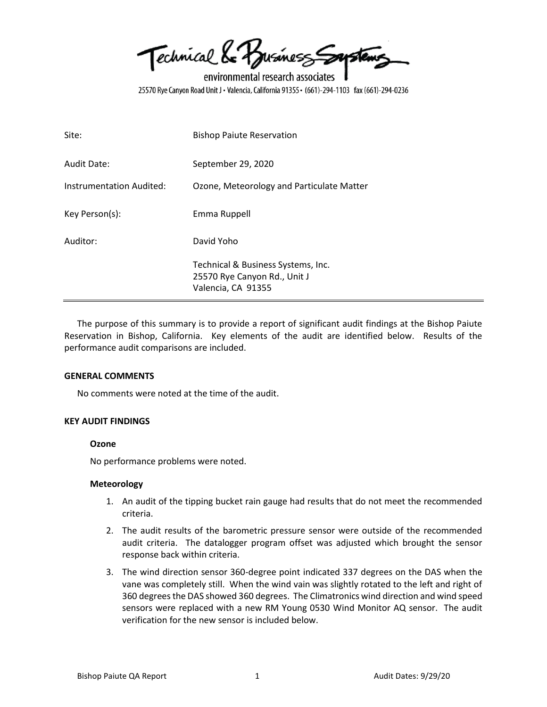Technical & Business Soustems

environmental research associates 25570 Rye Canyon Road Unit J · Valencia, California 91355 · (661)-294-1103 fax (661)-294-0236

| Site:                    | <b>Bishop Paiute Reservation</b>                                                         |
|--------------------------|------------------------------------------------------------------------------------------|
| Audit Date:              | September 29, 2020                                                                       |
| Instrumentation Audited: | Ozone, Meteorology and Particulate Matter                                                |
| Key Person(s):           | Emma Ruppell                                                                             |
| Auditor:                 | David Yoho                                                                               |
|                          | Technical & Business Systems, Inc.<br>25570 Rye Canyon Rd., Unit J<br>Valencia, CA 91355 |

The purpose of this summary is to provide a report of significant audit findings at the Bishop Paiute Reservation in Bishop, California. Key elements of the audit are identified below. Results of the performance audit comparisons are included.

## **GENERAL COMMENTS**

No comments were noted at the time of the audit.

## **KEY AUDIT FINDINGS**

## **Ozone**

No performance problems were noted.

## **Meteorology**

- 1. An audit of the tipping bucket rain gauge had results that do not meet the recommended criteria.
- 2. The audit results of the barometric pressure sensor were outside of the recommended audit criteria. The datalogger program offset was adjusted which brought the sensor response back within criteria.
- 3. The wind direction sensor 360-degree point indicated 337 degrees on the DAS when the vane was completely still. When the wind vain was slightly rotated to the left and right of 360 degrees the DAS showed 360 degrees. The Climatronics wind direction and wind speed sensors were replaced with a new RM Young 0530 Wind Monitor AQ sensor. The audit verification for the new sensor is included below.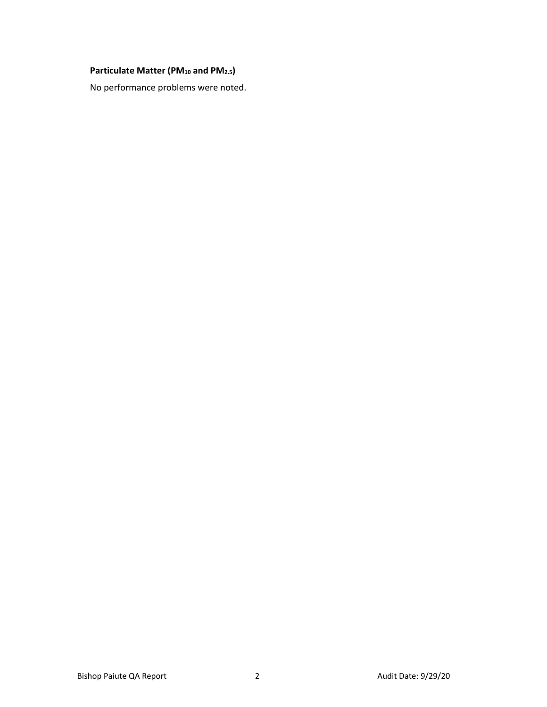# **Particulate Matter (PM<sup>10</sup> and PM2.5)**

No performance problems were noted.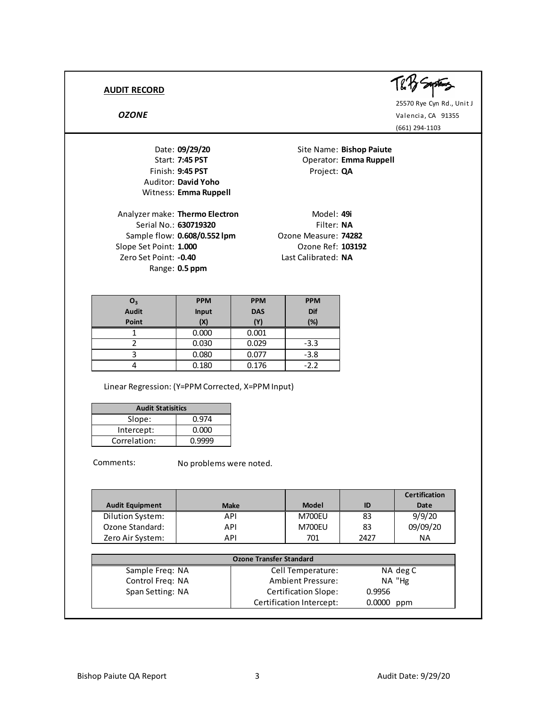

25570 Rye Cyn Rd., Unit J *OZONE* Valencia, CA 91355 (661) 294-1103

Date: **09/29/20** Site Name: **Bishop Paiute** Finish: 9:45 PST Project: QA Auditor: **David Yoho** Witness: **Emma Ruppell**

Analyzer make: **Thermo Electron** Model: 49i Serial No.: **630719320** Filter: **NA** Sample flow: **0.608/0.552 lpm** Ozone Measure: **74282** Slope Set Point: **1.000** Ozone Ref: **103192** Zero Set Point: **-0.40** Last Calibrated: **NA** Range: **0.5 ppm**

**Operator: Emma Ruppell** 

| O <sub>3</sub> | <b>PPM</b>   | <b>PPM</b> | <b>PPM</b> |
|----------------|--------------|------------|------------|
| <b>Audit</b>   | <b>Input</b> | <b>DAS</b> | Dif        |
| Point          | (X)          | Y)         | (%)        |
|                | 0.000        | 0.001      |            |
|                | 0.030        | 0.029      | $-3.3$     |
|                | 0.080        | 0.077      | $-3.8$     |
|                | 0.180        | 0.176      | $-2.2$     |

Linear Regression: (Y=PPM Corrected, X=PPM Input)

| <b>Audit Statisitics</b> |        |  |  |  |
|--------------------------|--------|--|--|--|
| Slope:                   | 0.974  |  |  |  |
| Intercept:               | 0.000  |  |  |  |
| Correlation:             | 0.9999 |  |  |  |

Comments:

No problems were noted.

|                        |             |               |      | <b>Certification</b> |
|------------------------|-------------|---------------|------|----------------------|
| <b>Audit Equipment</b> | <b>Make</b> | <b>Model</b>  | ID   | Date                 |
| Dilution System:       | API         | <b>M700EU</b> | 83   | 9/9/20               |
| Ozone Standard:        | API         | <b>M700EU</b> | 83   | 09/09/20             |
| Zero Air System:       | API         | 701           | 2427 | ΝA                   |
|                        |             |               |      |                      |

| --------------   | .   | .                              | ິ          | <u>,,,,,,,,</u> |
|------------------|-----|--------------------------------|------------|-----------------|
| Zero Air System: | API | 701                            | 2427       | <b>NA</b>       |
|                  |     |                                |            |                 |
|                  |     | <b>Ozone Transfer Standard</b> |            |                 |
| Sample Freq: NA  |     | Cell Temperature:              |            | NA deg C        |
| Control Freq: NA |     | <b>Ambient Pressure:</b>       |            | NA "Hg          |
| Span Setting: NA |     | Certification Slope:           | 0.9956     |                 |
|                  |     | Certification Intercept:       | 0.0000 ppm |                 |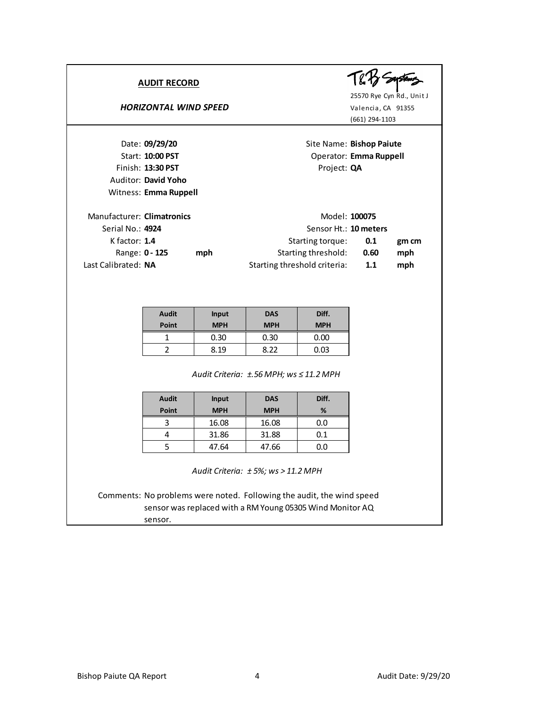## **HORIZONTAL WIND SPEED** Valencia, CA 91355



25570 Rye Cyn Rd., Unit J (661) 294-1103

Date: **09/29/20** Site Name: **Bishop Paiute** Start: **10:00 PST** Operator: **Emma Ruppell** Finish: 13:30 PST Project: QA Auditor: **David Yoho** Witness: **Emma Ruppell** Manufacturer: **Climatronics** Model: 100075 Serial No.: **4924** Sensor Ht.: **10 meters** K factor: **1.4 0.1 gm cm** Starting torque: Range: **0 - 125 mph 1.128 1.138 0.60 mph** Last Calibrated: **NA 1.1 mph** Starting threshold criteria:

| <b>Audit</b><br>Point | <b>Input</b><br><b>MPH</b> | <b>DAS</b><br><b>MPH</b> | Diff.<br><b>MPH</b> |
|-----------------------|----------------------------|--------------------------|---------------------|
|                       | 0.30                       | 0.30                     | 0.00                |
|                       | ጸ 19                       | 8.22                     | 0.03                |

*±.56 MPH; ws ≤ 11.2 MPH Audit Criteria:*

| <b>Audit</b><br>Point | <b>Input</b><br><b>MPH</b> | <b>DAS</b><br><b>MPH</b> | Diff.<br>% |
|-----------------------|----------------------------|--------------------------|------------|
|                       | 16.08                      | 16.08                    | 0.0        |
|                       | 31.86                      | 31.88                    | 0.1        |
|                       | 47.64                      | 47.66                    | 0.0        |

*± 5%; ws > 11.2 MPH Audit Criteria:*

Comments: No problems were noted. Following the audit, the wind speed sensor was replaced with a RM Young 05305 Wind Monitor AQ sensor.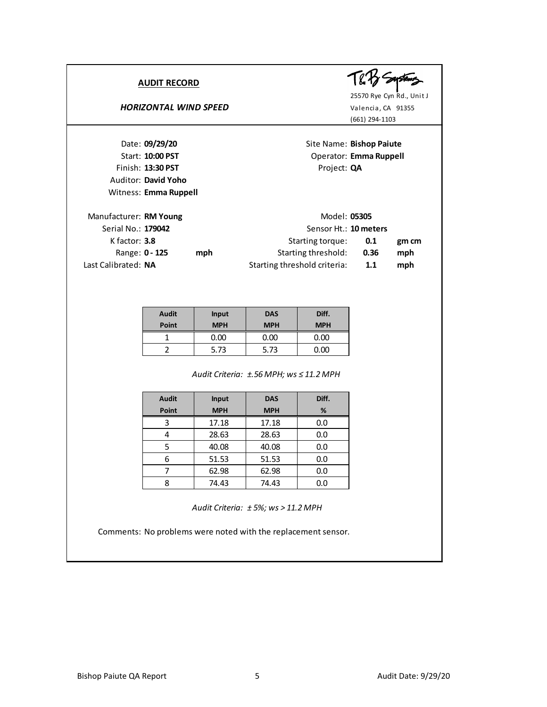## **HORIZONTAL WIND SPEED** Valencia, CA 91355



25570 Rye Cyn Rd., Unit J (661) 294-1103

Date: **09/29/20** Site Name: **Bishop Paiute** Start: **10:00 PST** Operator: **Emma Ruppell** Finish: 13:30 PST Project: QA Auditor: **David Yoho** Witness: **Emma Ruppell**

| Manufacturer: RM Young<br>Model: 05305 |  |     |                              |      |       |
|----------------------------------------|--|-----|------------------------------|------|-------|
| Serial No.: 179042                     |  |     | Sensor Ht.: 10 meters        |      |       |
| K factor: $3.8$                        |  |     | Starting torque:             | 0.1  | gm cm |
| Range: 0 - 125                         |  | mph | Starting threshold:          | 0.36 | mph   |
| Last Calibrated: NA                    |  |     | Starting threshold criteria: | 1.1  | mph   |

| <b>Audit</b><br>Point | Input<br><b>MPH</b> | <b>DAS</b><br><b>MPH</b> | Diff.<br><b>MPH</b> |
|-----------------------|---------------------|--------------------------|---------------------|
|                       | 0.00                | 0.00                     | 0.00                |
|                       | 5.73                | 5.73                     | 0.00                |

*±.56 MPH; ws ≤ 11.2 MPH Audit Criteria:*

| <b>Audit</b> | Input      | <b>DAS</b> | Diff. |
|--------------|------------|------------|-------|
| Point        | <b>MPH</b> | <b>MPH</b> | %     |
|              | 17.18      | 17.18      | 0.0   |
|              | 28.63      | 28.63      | 0.0   |
| 5            | 40.08      | 40.08      | 0.0   |
| 6            | 51.53      | 51.53      | 0.0   |
|              | 62.98      | 62.98      | 0.0   |
| Q            | 74.43      | 74.43      | 0.0   |

*± 5%; ws > 11.2 MPH Audit Criteria:*

Comments: No problems were noted with the replacement sensor.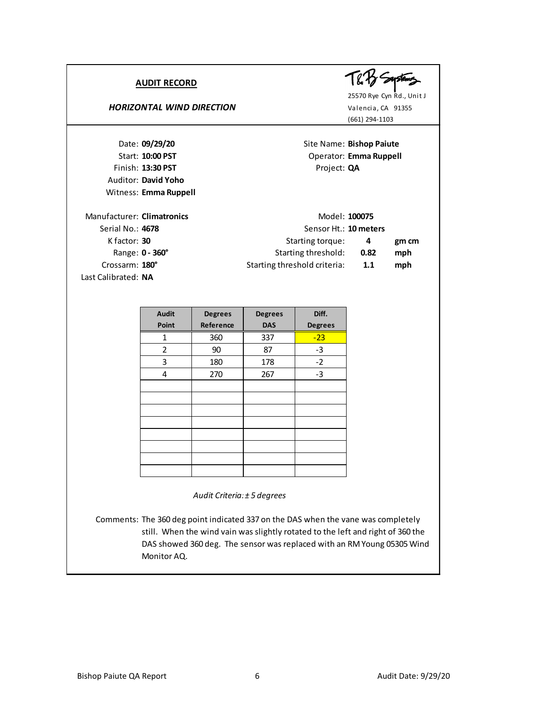Auditor: **David Yoho** Witness: **Emma Ruppell**

#### **HORIZONTAL WIND DIRECTION** Valencia, CA 91355



25570 Rye Cyn Rd., Unit J (661) 294-1103

Date: **09/29/20** Site Name: **Bishop Paiute** Start: **10:00 PST** Operator: **Emma Ruppell** Finish: 13:30 PST Project: QA

| Manufacturer: Climatronics | Model: 100075                |      |       |
|----------------------------|------------------------------|------|-------|
| Serial No.: 4678           | Sensor Ht.: 10 meters        |      |       |
| K factor: 30               | Starting torque:             | 4    | gm cm |
| Range: 0 - 360°            | Starting threshold:          | 0.82 | mph   |
| Crossarm: 180°             | Starting threshold criteria: | 1.1  | mph   |
| Last Calibrated: NA        |                              |      |       |

| <b>Audit</b>   | <b>Degrees</b> | <b>Degrees</b> | Diff.          |
|----------------|----------------|----------------|----------------|
| Point          | Reference      | <b>DAS</b>     | <b>Degrees</b> |
| 1              | 360            | 337            | $-23$          |
| $\overline{2}$ | 90             | 87             | $-3$           |
| 3              | 180            | 178            | $-2$           |
| 4              | 270            | 267            | $-3$           |
|                |                |                |                |
|                |                |                |                |
|                |                |                |                |
|                |                |                |                |
|                |                |                |                |
|                |                |                |                |
|                |                |                |                |
|                |                |                |                |

*Audit Criteria: ± 5 degrees*

Comments: The 360 deg point indicated 337 on the DAS when the vane was completely still. When the wind vain was slightly rotated to the left and right of 360 the DAS showed 360 deg. The sensor was replaced with an RM Young 05305 Wind Monitor AQ.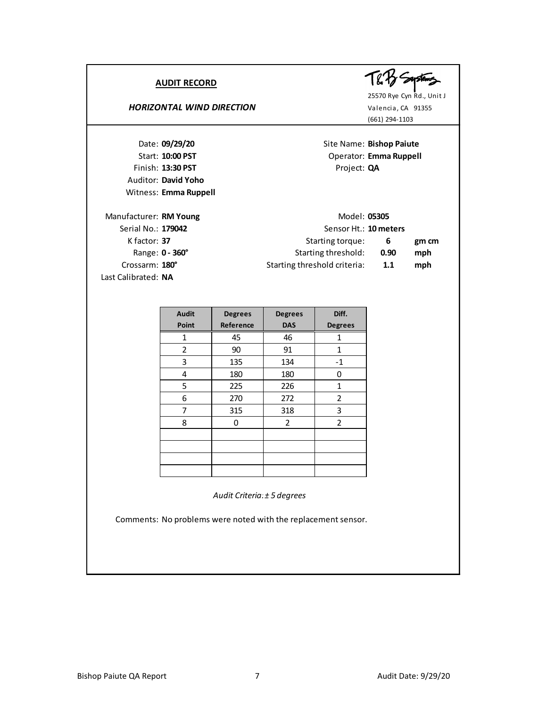| <b>AUDIT RECORD</b><br><b>HORIZONTAL WIND DIRECTION</b>                                             |                                                                                                                  | Valencia, CA 91355<br>(661) 294-1103 | 25570 Rye Cyn Rd., Unit J |
|-----------------------------------------------------------------------------------------------------|------------------------------------------------------------------------------------------------------------------|--------------------------------------|---------------------------|
| Date: 09/29/20<br>Start: 10:00 PST                                                                  | Site Name: Bishop Paiute                                                                                         | Operator: Emma Ruppell               |                           |
| Finish: 13:30 PST<br>Auditor: David Yoho<br>Witness: Emma Ruppell                                   | Project: QA                                                                                                      |                                      |                           |
| Manufacturer: RM Young<br>Serial No.: 179042<br>K factor: $37$<br>Range: 0 - 360°<br>Crossarm: 180° | Model: 05305<br>Sensor Ht.: 10 meters<br>Starting torque:<br>Starting threshold:<br>Starting threshold criteria: | 6<br>0.90<br>1.1                     | gm cm<br>mph<br>mph       |
| Last Calibrated: NA                                                                                 |                                                                                                                  |                                      |                           |

| <b>Audit</b>   | <b>Degrees</b><br><b>Degrees</b> |                | Diff.          |
|----------------|----------------------------------|----------------|----------------|
| Point          | Reference                        | <b>DAS</b>     | <b>Degrees</b> |
| 1              | 45                               | 46             | 1              |
| $\overline{2}$ | 90                               | 91             | 1              |
| 3              | 135                              | 134            | $-1$           |
| 4              | 180                              | 180            | ŋ              |
| 5              | 225                              | 226            | 1              |
| 6              | 270<br>272                       |                | 2              |
| 7              | 315                              | 318            | 3              |
| 8              | 0                                | $\overline{2}$ | 2              |
|                |                                  |                |                |
|                |                                  |                |                |
|                |                                  |                |                |
|                |                                  |                |                |

*Audit Criteria: ± 5 degrees*

Comments: No problems were noted with the replacement sensor.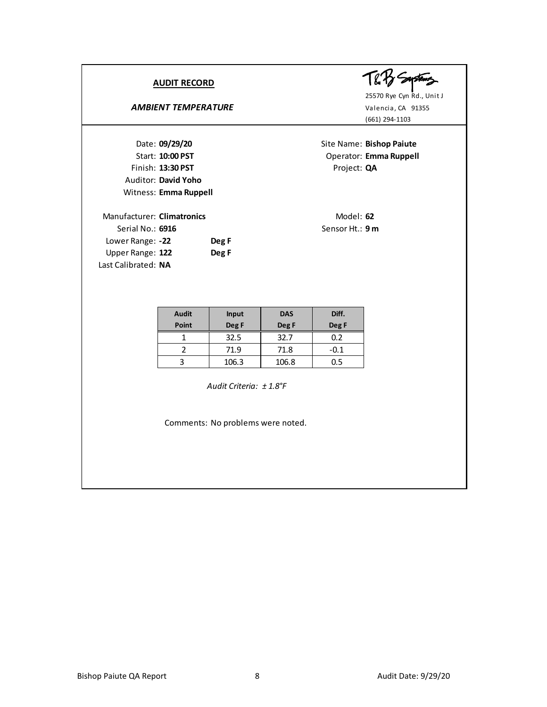# AMBIENT TEMPERATURE<br>
Valencia, CA 91355

Finish: 13:30 PST Project: QA Auditor: **David Yoho** Witness: **Emma Ruppell**

| Manufacturer: Climatronics |       |
|----------------------------|-------|
| Serial No.: 6916           |       |
| Lower Range: -22           | Deg F |
| Upper Range: 122           | Deg F |
| Last Calibrated: NA        |       |

T& By Seystems

25570 Rye Cyn Rd., Unit J (661) 294-1103

Date: **09/29/20** Site Name: **Bishop Paiute** Start: **10:00 PST** Operator: **Emma Ruppell** 

> Manufacturer: **Climatronics** Model: **62** Sensor Ht.: 9 m

| <b>Audit</b> | <b>Input</b> | <b>DAS</b> | Diff. |
|--------------|--------------|------------|-------|
| <b>Point</b> | Deg F        | Deg F      |       |
|              | 32.5         | 32.7       | 0.2   |
|              | 71.9         | 71.8       | -0.1  |
|              | 106.3        | 106.8      | ף נ   |

*± 1.8°F Audit Criteria:*

Comments: No problems were noted.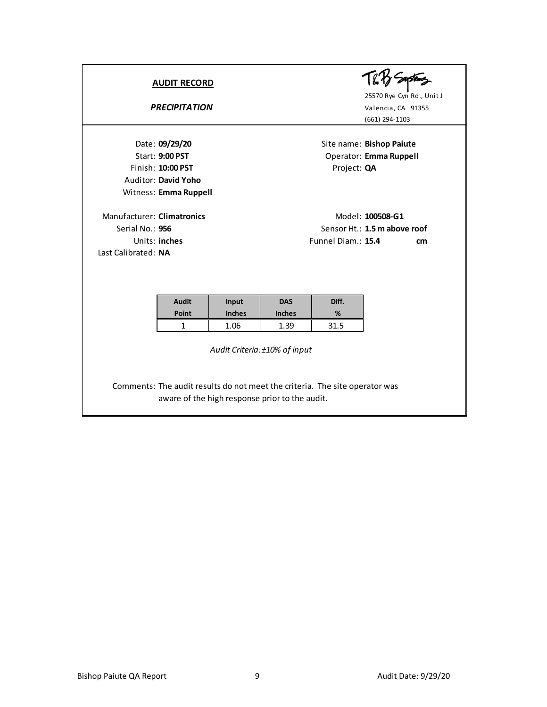|                                                                      | <b>AUDIT RECORD</b><br><b>PRECIPITATION</b>                                                                   |                                |                                     |                    | 25570 Rye Cyn Rd., Unit J<br>Valencia, CA 91355<br>(661) 294-1103 |
|----------------------------------------------------------------------|---------------------------------------------------------------------------------------------------------------|--------------------------------|-------------------------------------|--------------------|-------------------------------------------------------------------|
|                                                                      | Date: 09/29/20<br><b>Start: 9:00 PST</b><br>Finish: 10:00 PST<br>Auditor: David Yoho<br>Witness: Emma Ruppell |                                |                                     | Project: QA        | Site name: Bishop Paiute<br>Operator: Emma Ruppell                |
| Manufacturer: Climatronics<br>Serial No.: 956<br>Last Calibrated: NA | Units: inches                                                                                                 |                                |                                     | Funnel Diam.: 15.4 | Model: 100508-G1<br>Sensor Ht.: 1.5 m above roof<br>cm            |
|                                                                      | <b>Audit</b><br>Point<br>$\mathbf{1}$                                                                         | Input<br><b>Inches</b><br>1.06 | <b>DAS</b><br><b>Inches</b><br>1.39 | Diff.<br>%<br>31.5 |                                                                   |

*Audit Criteria: ±10% of input*

Comments: The audit results do not meet the criteria. The site operator was aware of the high response prior to the audit.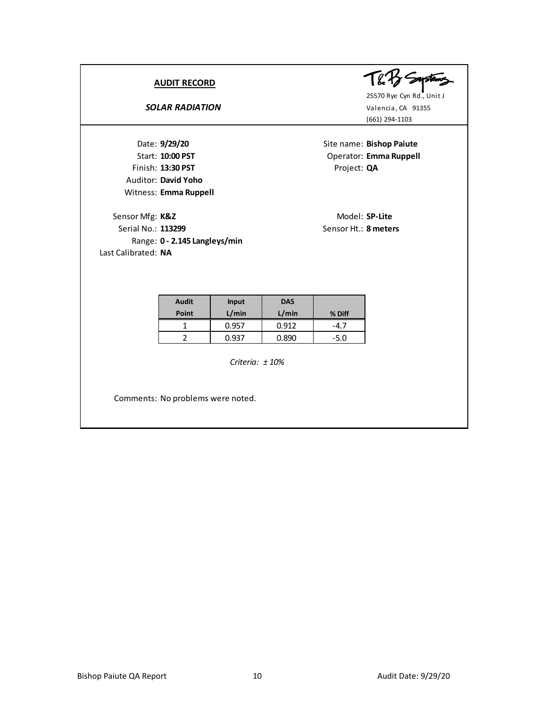# **SOLAR RADIATION** Valencia, CA 91355

Finish: 13:30 PST Project: QA Auditor: **David Yoho** Witness: **Emma Ruppell**

Sensor Mfg: K&Z Model: SP-Lite Serial No.: **113299** Sensor Ht.: **8 meters** Range: **0 - 2.145 Langleys/min** Last Calibrated: **NA**

てどろ *Souster* 

25570 Rye Cyn Rd., Unit J (661) 294-1103

Date: **9/29/20** Site name: **Bishop Paiute** Start: **10:00 PST** Operator: **Emma Ruppell** 

| <b>Audit</b><br>Point | <b>Input</b><br>L/min | <b>DAS</b><br>L/min | % Diff |
|-----------------------|-----------------------|---------------------|--------|
|                       | 0.957                 | 0.912               | -4.7   |
|                       |                       | 0.890               | $-5.0$ |

*Criteria: ± 10%*

Comments: No problems were noted.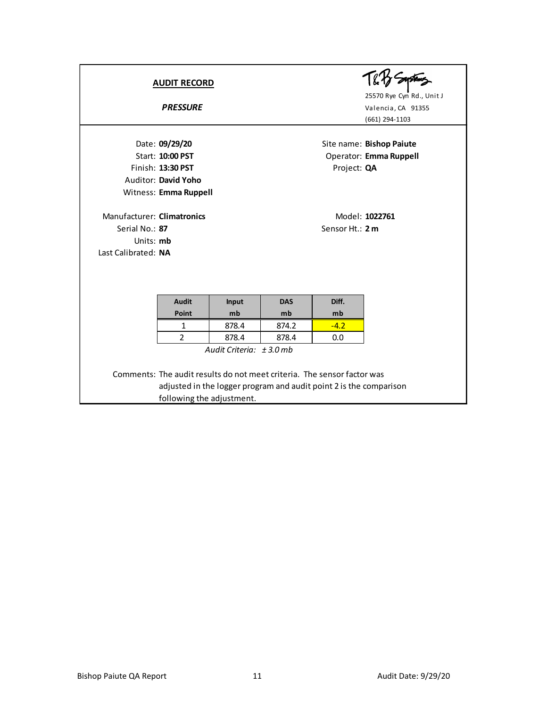|                            | <b>AUDIT RECORD</b><br><b>PRESSURE</b> |       |            |                 | 25570 Rye Cyn Rd., Unit J<br>Valencia, CA 91355<br>(661) 294-1103 |
|----------------------------|----------------------------------------|-------|------------|-----------------|-------------------------------------------------------------------|
|                            | Date: 09/29/20                         |       |            |                 | Site name: Bishop Paiute                                          |
|                            | Start: 10:00 PST<br>Finish: 13:30 PST  |       |            |                 | Operator: Emma Ruppell                                            |
|                            | Auditor: David Yoho                    |       |            | Project: QA     |                                                                   |
|                            | Witness: Emma Ruppell                  |       |            |                 |                                                                   |
| Manufacturer: Climatronics |                                        |       |            |                 | Model: 1022761                                                    |
| Serial No.: 87             |                                        |       |            | Sensor Ht.: 2 m |                                                                   |
| Units: mb                  |                                        |       |            |                 |                                                                   |
| Last Calibrated: NA        |                                        |       |            |                 |                                                                   |
|                            |                                        |       |            |                 |                                                                   |
|                            |                                        |       |            |                 |                                                                   |
|                            | <b>Audit</b>                           | Input | <b>DAS</b> | Diff.           |                                                                   |
|                            | Point                                  | mb    | mb         | mb              |                                                                   |
|                            | 1                                      | 8784  | 874.2      | $-42$           |                                                                   |

*Audit Criteria: ± 3.0 mb*

Comments: The audit results do not meet criteria. The sensor factor was adjusted in the logger program and audit point 2 is the comparison following the adjustment.

1 878.4 874.2 -4.2 2 878.4 878.4 0.0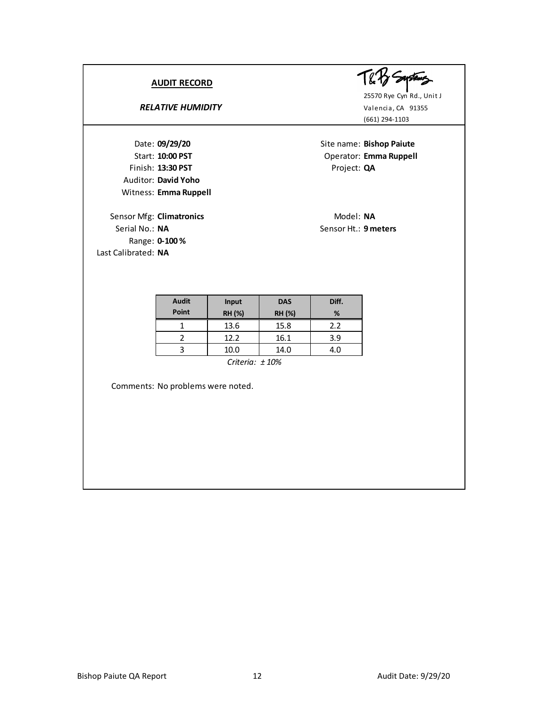## **RELATIVE HUMIDITY** Valencia, CA 91355

Finish: 13:30 PST Project: QA Auditor: **David Yoho** Witness: **Emma Ruppell 09/29/20**

Sensor Mfg: **Climatronics** Model: NA Serial No.: **NA** Sensor Ht.: **9 meters** Range: **0-100 %** Last Calibrated: **NA**



(661) 294-1103

Site name: Bishop Paiute Start: **10:00 PST** Operator: **Emma Ruppell** 

| <b>Audit</b> | <b>Input</b>              | <b>DAS</b>    | Diff. |
|--------------|---------------------------|---------------|-------|
| Point        | <b>RH (%)</b>             | <b>RH (%)</b> | %     |
|              | 13.6                      | 15.8          | 2.2   |
|              | 12.2                      | 16.1          | 3.9   |
|              | 10.0                      | 14.0          | 4.0   |
|              | $C_{\text{min}} = 1.4001$ |               |       |

*Criteria: ± 10%*

Comments: No problems were noted.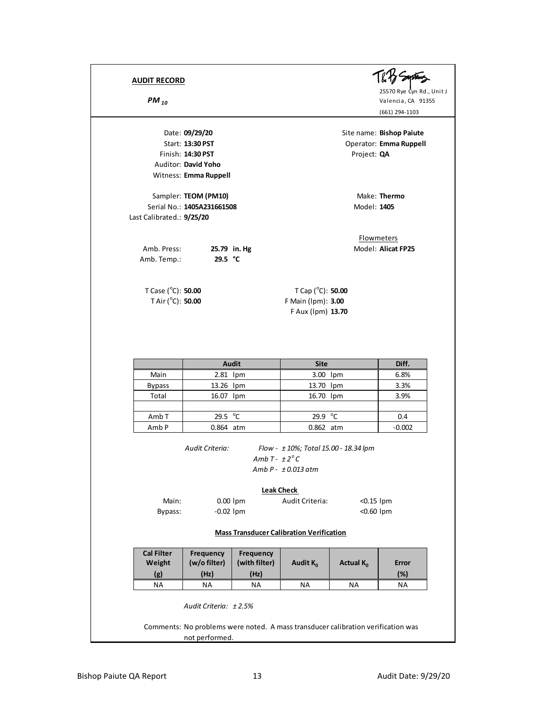Finish: 14:30 PST Project: QA Auditor: **David Yoho** Witness: **Emma Ruppell**

Sampler: **TEOM (PM10)** Make: Thermo Serial No.: **1405A231661508** Model: **1405** Last Calibrated.: **9/25/20**

Amb. Press: **25.79 in. Hg** Model: Alicat FP25 Amb. Temp.: **29.5 °C**

T Case (<sup>o</sup>C): **50.00** T Cap (<sup>o</sup> T Air  $(^{\circ}C)$ : 50.00

25570 Rye Cyn Rd., Unit J **PM** 10<br> **PM** 10<br> **PM** 10<br> **PM** 10<br> **PM** 10<br> **PM** 10<br> **PM** 10<br> **PM** 10<br> **PM** 10

(661) 294-1103

Date: **09/29/20** Site name: **Bishop Paiute** Start: 13:30 PST Operator: **Emma Ruppell** 

**Flowmeters** 

T Cap (°C): **50.00** C): **50.00** F Main (lpm): **3.00** F Aux (lpm) **13.70**

|                  | Audit                  | <b>Site</b>       | Diff.    |
|------------------|------------------------|-------------------|----------|
| Main             | $2.81$ lpm             | 3.00 lpm          | 6.8%     |
| <b>Bypass</b>    | 13.26 lpm<br>13.70 lpm |                   | 3.3%     |
| Total            | 16.07 lpm              | 16.70 lpm         | 3.9%     |
|                  |                        |                   |          |
| Amb <sub>T</sub> | 29.5 $\degree$ C       | 29.9 $^{\circ}$ C | 0.4      |
| Amb <sub>P</sub> | 0.864 atm              | 0.862 atm         | $-0.002$ |

*Audit Criteria: Flow - ± 10%; Total 15.00 - 18.34 lpm Amb T - ± 2 <sup>o</sup> C Amb P - ± 0.013 atm*

#### **Leak Check**

| Main:   | $0.00$ lpm  | Audit Criteria: | $< 0.15$ lpm |
|---------|-------------|-----------------|--------------|
| Bypass: | $-0.02$ lpm |                 | $<$ 0.60 lpm |

#### **Mass Transducer Calibration Verification**

| <b>Cal Filter</b><br>Weight<br>(g)                                               | Frequency<br>(w/o filter)<br>(Hz) | <b>Frequency</b><br>(with filter)<br>(Hz) | Audit K <sub>o</sub> | <b>Actual K</b> <sub>0</sub> | Error<br>(%) |
|----------------------------------------------------------------------------------|-----------------------------------|-------------------------------------------|----------------------|------------------------------|--------------|
| <b>NA</b>                                                                        | <b>NA</b>                         | <b>NA</b>                                 | ΝA                   | ΝA                           | <b>NA</b>    |
| Audit Criteria: $+2.5%$                                                          |                                   |                                           |                      |                              |              |
| Comments: No problems were noted. A mass transducer calibration verification was |                                   |                                           |                      |                              |              |

not performed.